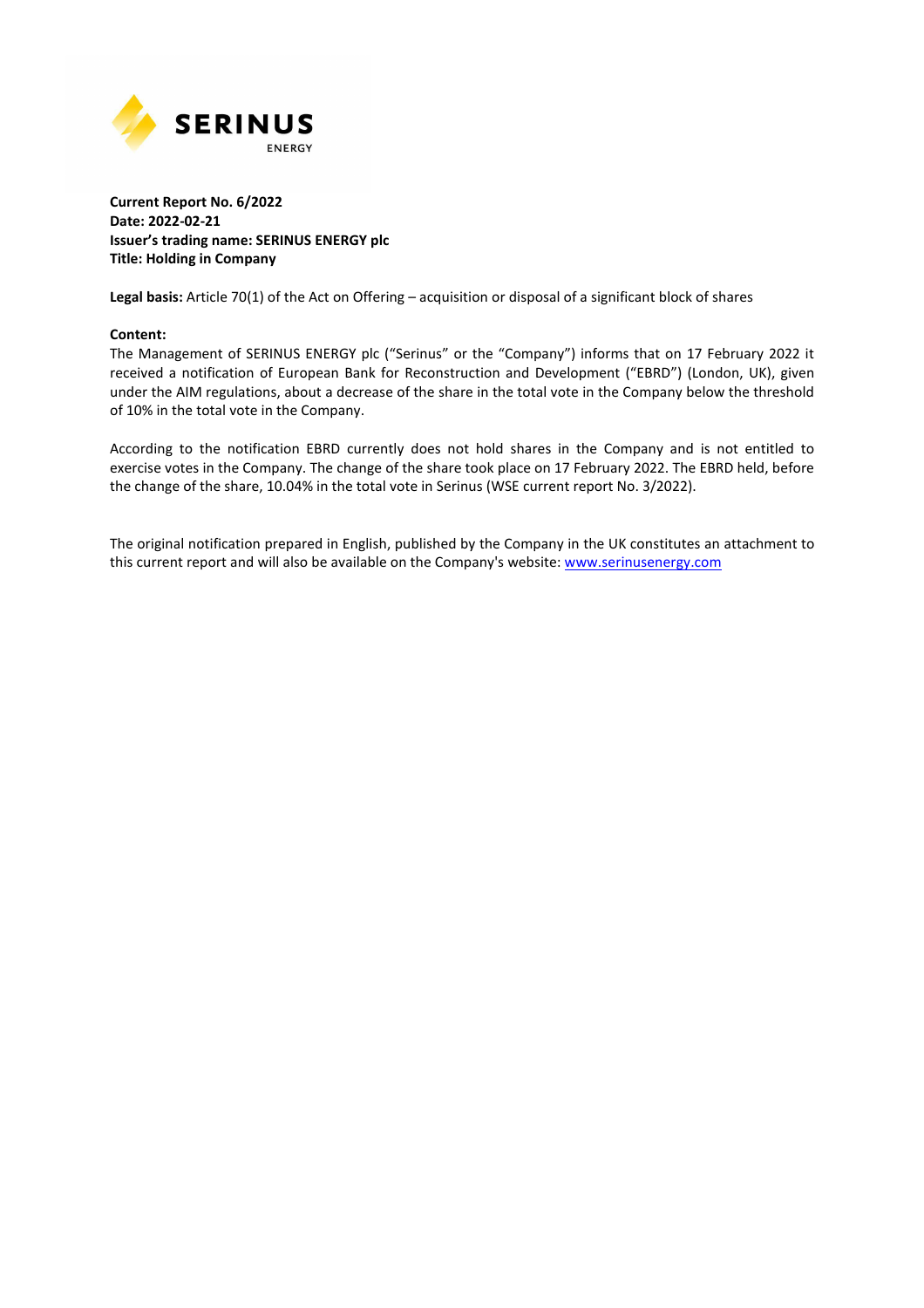

#### **Current Report No. 6/2022 Date: 2022-02-21 Issuer's trading name: SERINUS ENERGY plc Title: Holding in Company**

**Legal basis:** Article 70(1) of the Act on Offering – acquisition or disposal of a significant block of shares

#### **Content:**

The Management of SERINUS ENERGY plc ("Serinus" or the "Company") informs that on 17 February 2022 it received a notification of European Bank for Reconstruction and Development ("EBRD") (London, UK), given under the AIM regulations, about a decrease of the share in the total vote in the Company below the threshold of 10% in the total vote in the Company.

According to the notification EBRD currently does not hold shares in the Company and is not entitled to exercise votes in the Company. The change of the share took place on 17 February 2022. The EBRD held, before the change of the share, 10.04% in the total vote in Serinus (WSE current report No. 3/2022).

The original notification prepared in English, published by the Company in the UK constitutes an attachment to this current report and will also be available on the Company's website: www.serinusenergy.com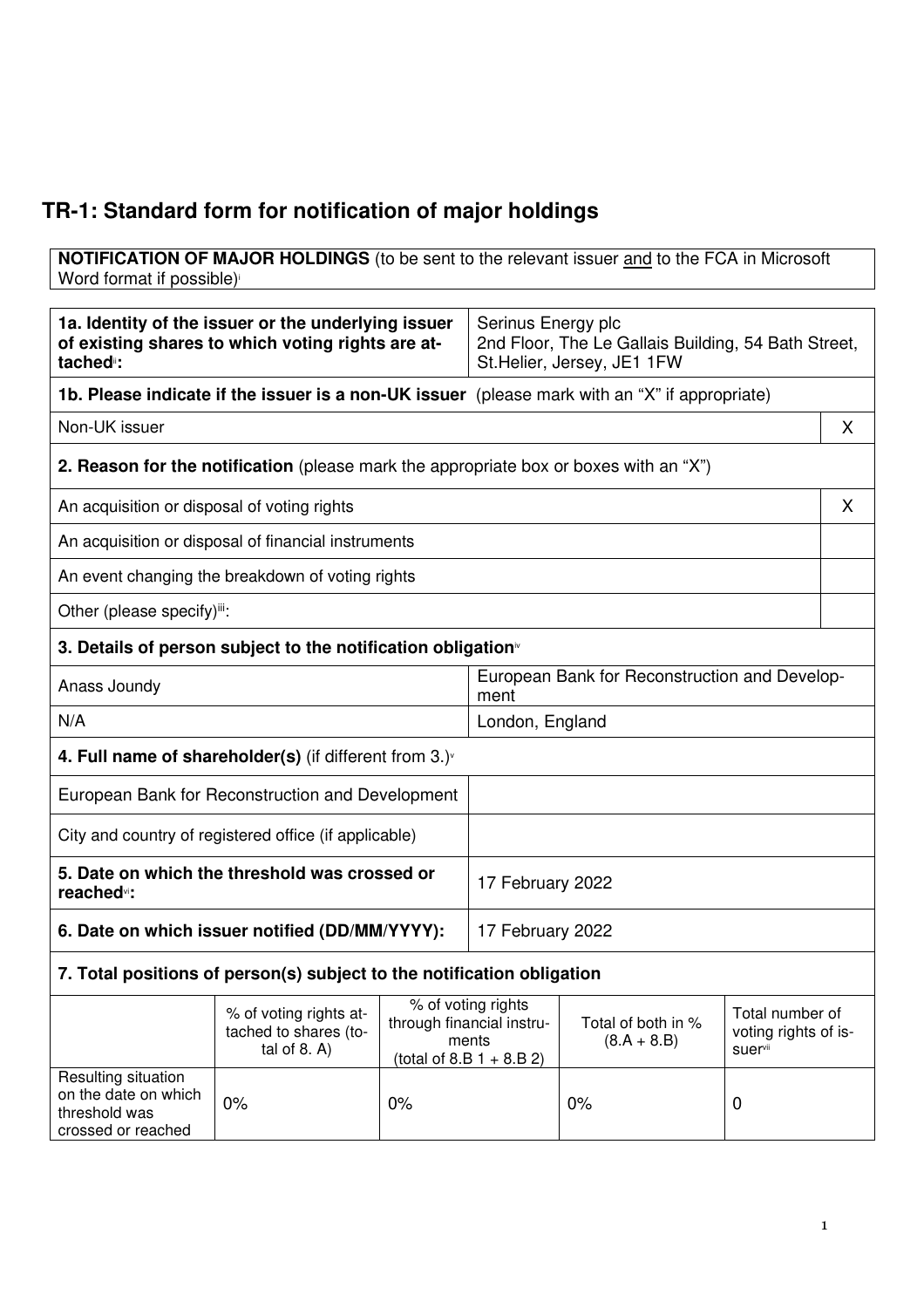# **TR-1: Standard form for notification of major holdings**

**NOTIFICATION OF MAJOR HOLDINGS** (to be sent to the relevant issuer and to the FCA in Microsoft Word format if possible)

| 1a. Identity of the issuer or the underlying issuer<br>of existing shares to which voting rights are at-<br>tached <sup>"</sup> : |                                                                                                                                                                                                                 |                              | Serinus Energy plc<br>2nd Floor, The Le Gallais Building, 54 Bath Street,<br>St. Helier, Jersey, JE1 1FW |  |    |
|-----------------------------------------------------------------------------------------------------------------------------------|-----------------------------------------------------------------------------------------------------------------------------------------------------------------------------------------------------------------|------------------------------|----------------------------------------------------------------------------------------------------------|--|----|
|                                                                                                                                   | <b>1b. Please indicate if the issuer is a non-UK issuer</b> (please mark with an "X" if appropriate)                                                                                                            |                              |                                                                                                          |  |    |
| Non-UK issuer                                                                                                                     |                                                                                                                                                                                                                 |                              |                                                                                                          |  | X. |
|                                                                                                                                   | <b>2. Reason for the notification</b> (please mark the appropriate box or boxes with an "X")                                                                                                                    |                              |                                                                                                          |  |    |
| An acquisition or disposal of voting rights                                                                                       |                                                                                                                                                                                                                 |                              |                                                                                                          |  | X  |
|                                                                                                                                   | An acquisition or disposal of financial instruments                                                                                                                                                             |                              |                                                                                                          |  |    |
|                                                                                                                                   | An event changing the breakdown of voting rights                                                                                                                                                                |                              |                                                                                                          |  |    |
| Other (please specify)ii:                                                                                                         |                                                                                                                                                                                                                 |                              |                                                                                                          |  |    |
|                                                                                                                                   | 3. Details of person subject to the notification obligation <sup>®</sup>                                                                                                                                        |                              |                                                                                                          |  |    |
| Anass Joundy                                                                                                                      |                                                                                                                                                                                                                 |                              | European Bank for Reconstruction and Develop-<br>ment                                                    |  |    |
| N/A                                                                                                                               |                                                                                                                                                                                                                 |                              | London, England                                                                                          |  |    |
| 4. Full name of shareholder(s) (if different from $3.$ ) $\sqrt{ }$                                                               |                                                                                                                                                                                                                 |                              |                                                                                                          |  |    |
| European Bank for Reconstruction and Development                                                                                  |                                                                                                                                                                                                                 |                              |                                                                                                          |  |    |
| City and country of registered office (if applicable)                                                                             |                                                                                                                                                                                                                 |                              |                                                                                                          |  |    |
| 5. Date on which the threshold was crossed or<br>reached <sup>vi</sup> :                                                          |                                                                                                                                                                                                                 |                              | 17 February 2022                                                                                         |  |    |
| 6. Date on which issuer notified (DD/MM/YYYY):                                                                                    |                                                                                                                                                                                                                 |                              | 17 February 2022                                                                                         |  |    |
| 7. Total positions of person(s) subject to the notification obligation                                                            |                                                                                                                                                                                                                 |                              |                                                                                                          |  |    |
|                                                                                                                                   | % of voting rights<br>% of voting rights at-<br>Total of both in %<br>through financial instru-<br>tached to shares (to-<br>ments<br>$(8.A + 8.B)$<br>suervii<br>tal of $8. A$ )<br>(total of 8.B $1 + 8.B 2$ ) |                              | Total number of<br>voting rights of is-                                                                  |  |    |
| Resulting situation<br>on the date on which<br>threshold was<br>crossed or reached                                                | 0%                                                                                                                                                                                                              | 0%<br>0%<br>$\boldsymbol{0}$ |                                                                                                          |  |    |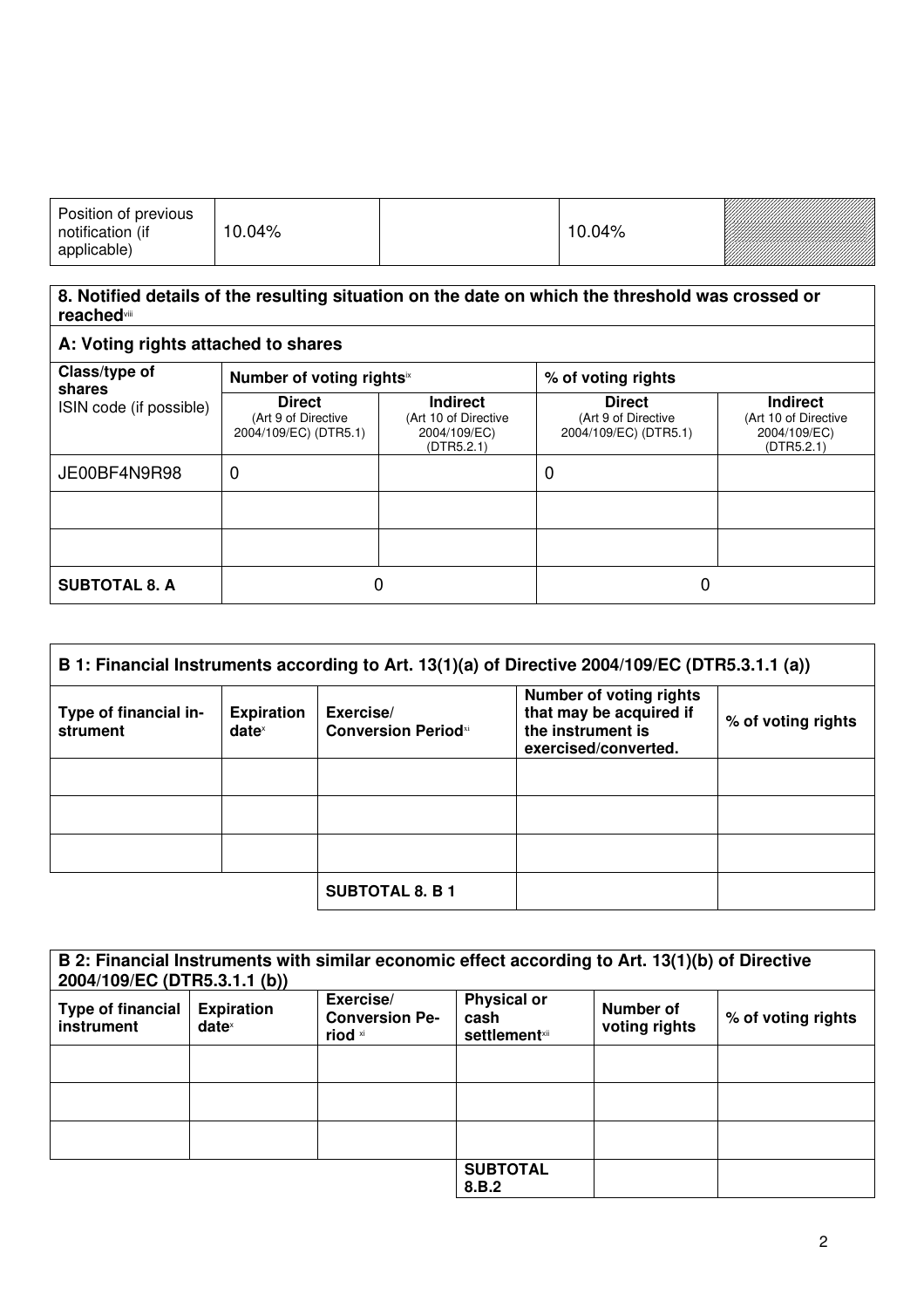| Position of previous<br>notification (if<br>applicable) | .04%<br>10 |  | $10.04\%$ | <u>Tarafarahasi kula salah sebagai pertama dalam pertama dalam dalam dalam dalam dalam dalam dalam dalam dalam d</u> |
|---------------------------------------------------------|------------|--|-----------|----------------------------------------------------------------------------------------------------------------------|
|---------------------------------------------------------|------------|--|-----------|----------------------------------------------------------------------------------------------------------------------|

### **8. Notified details of the resulting situation on the date on which the threshold was crossed or reached**viii

## **A: Voting rights attached to shares**

| Class/type of<br>shares<br>ISIN code (if possible) | Number of voting rightsix                                     |                                                                       | % of voting rights                                            |                                                                       |
|----------------------------------------------------|---------------------------------------------------------------|-----------------------------------------------------------------------|---------------------------------------------------------------|-----------------------------------------------------------------------|
|                                                    | <b>Direct</b><br>(Art 9 of Directive<br>2004/109/EC) (DTR5.1) | <b>Indirect</b><br>(Art 10 of Directive<br>2004/109/EC)<br>(DTR5.2.1) | <b>Direct</b><br>(Art 9 of Directive<br>2004/109/EC) (DTR5.1) | <b>Indirect</b><br>(Art 10 of Directive<br>2004/109/EC)<br>(DTR5.2.1) |
| JE00BF4N9R98                                       | 0                                                             |                                                                       | 0                                                             |                                                                       |
|                                                    |                                                               |                                                                       |                                                               |                                                                       |
|                                                    |                                                               |                                                                       |                                                               |                                                                       |
| <b>SUBTOTAL 8. A</b>                               | 0                                                             |                                                                       | 0                                                             |                                                                       |

| B 1: Financial Instruments according to Art. 13(1)(a) of Directive 2004/109/EC (DTR5.3.1.1 (a)) |                                      |                                         |                                                                                                        |                    |
|-------------------------------------------------------------------------------------------------|--------------------------------------|-----------------------------------------|--------------------------------------------------------------------------------------------------------|--------------------|
| Type of financial in-<br>strument                                                               | <b>Expiration</b><br>$date^{\times}$ | Exercise/<br><b>Conversion Periodxi</b> | <b>Number of voting rights</b><br>that may be acquired if<br>the instrument is<br>exercised/converted. | % of voting rights |
|                                                                                                 |                                      |                                         |                                                                                                        |                    |
|                                                                                                 |                                      |                                         |                                                                                                        |                    |
|                                                                                                 |                                      |                                         |                                                                                                        |                    |
|                                                                                                 |                                      | <b>SUBTOTAL 8. B 1</b>                  |                                                                                                        |                    |

| 2004/109/EC (DTR5.3.1.1 (b))           |                                        | B 2: Financial Instruments with similar economic effect according to Art. 13(1)(b) of Directive |                                                     |                            |                    |
|----------------------------------------|----------------------------------------|-------------------------------------------------------------------------------------------------|-----------------------------------------------------|----------------------------|--------------------|
| <b>Type of financial</b><br>instrument | <b>Expiration</b><br>date <sup>x</sup> | Exercise/<br><b>Conversion Pe-</b><br>riod xi                                                   | <b>Physical or</b><br>cash<br><b>settlement</b> xii | Number of<br>voting rights | % of voting rights |
|                                        |                                        |                                                                                                 |                                                     |                            |                    |
|                                        |                                        |                                                                                                 |                                                     |                            |                    |
|                                        |                                        |                                                                                                 |                                                     |                            |                    |
|                                        |                                        |                                                                                                 | <b>SUBTOTAL</b><br>8.B.2                            |                            |                    |